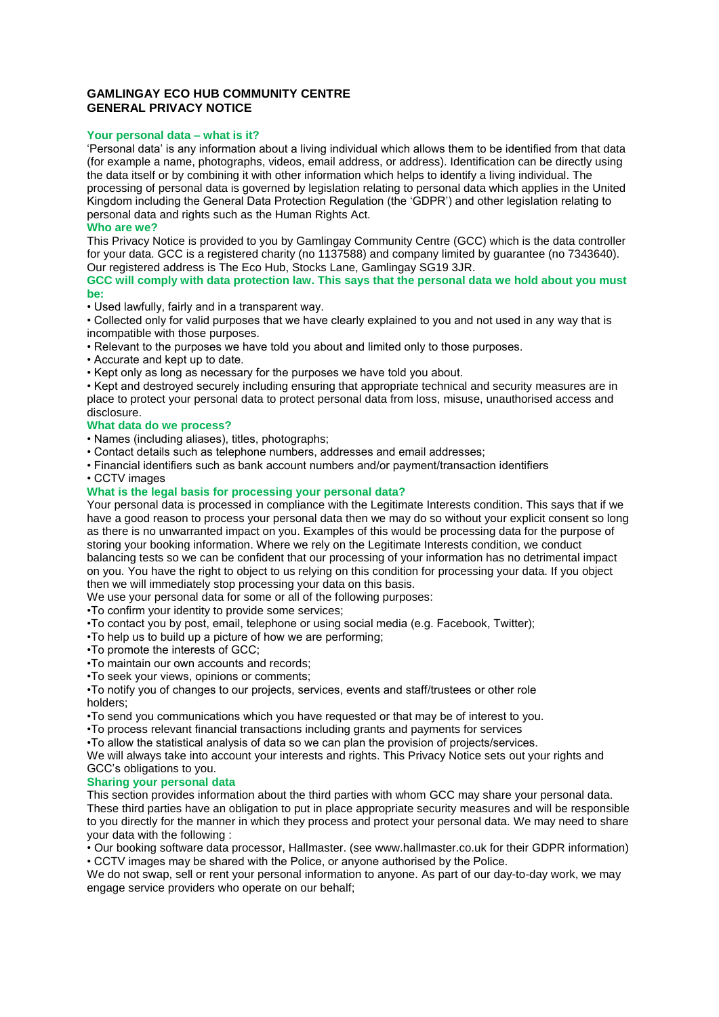# **GAMLINGAY ECO HUB COMMUNITY CENTRE GENERAL PRIVACY NOTICE**

## **Your personal data – what is it?**

'Personal data' is any information about a living individual which allows them to be identified from that data (for example a name, photographs, videos, email address, or address). Identification can be directly using the data itself or by combining it with other information which helps to identify a living individual. The processing of personal data is governed by legislation relating to personal data which applies in the United Kingdom including the General Data Protection Regulation (the 'GDPR') and other legislation relating to personal data and rights such as the Human Rights Act.

### **Who are we?**

This Privacy Notice is provided to you by Gamlingay Community Centre (GCC) which is the data controller for your data. GCC is a registered charity (no 1137588) and company limited by guarantee (no 7343640). Our registered address is The Eco Hub, Stocks Lane, Gamlingay SG19 3JR.

**GCC will comply with data protection law. This says that the personal data we hold about you must be:**

• Used lawfully, fairly and in a transparent way.

• Collected only for valid purposes that we have clearly explained to you and not used in any way that is incompatible with those purposes.

• Relevant to the purposes we have told you about and limited only to those purposes.

• Accurate and kept up to date.

• Kept only as long as necessary for the purposes we have told you about.

• Kept and destroyed securely including ensuring that appropriate technical and security measures are in place to protect your personal data to protect personal data from loss, misuse, unauthorised access and disclosure.

## **What data do we process?**

- Names (including aliases), titles, photographs;
- Contact details such as telephone numbers, addresses and email addresses;
- Financial identifiers such as bank account numbers and/or payment/transaction identifiers
- CCTV images

# **What is the legal basis for processing your personal data?**

Your personal data is processed in compliance with the Legitimate Interests condition. This says that if we have a good reason to process your personal data then we may do so without your explicit consent so long as there is no unwarranted impact on you. Examples of this would be processing data for the purpose of storing your booking information. Where we rely on the Legitimate Interests condition, we conduct balancing tests so we can be confident that our processing of your information has no detrimental impact on you. You have the right to object to us relying on this condition for processing your data. If you object then we will immediately stop processing your data on this basis.

We use your personal data for some or all of the following purposes:

•To confirm your identity to provide some services;

•To contact you by post, email, telephone or using social media (e.g. Facebook, Twitter);

•To help us to build up a picture of how we are performing;

- •To promote the interests of GCC;
- •To maintain our own accounts and records;
- •To seek your views, opinions or comments;

•To notify you of changes to our projects, services, events and staff/trustees or other role holders;

•To send you communications which you have requested or that may be of interest to you.

•To process relevant financial transactions including grants and payments for services

•To allow the statistical analysis of data so we can plan the provision of projects/services.

We will always take into account your interests and rights. This Privacy Notice sets out your rights and GCC's obligations to you.

#### **Sharing your personal data**

This section provides information about the third parties with whom GCC may share your personal data. These third parties have an obligation to put in place appropriate security measures and will be responsible to you directly for the manner in which they process and protect your personal data. We may need to share your data with the following :

• Our booking software data processor, Hallmaster. (see www.hallmaster.co.uk for their GDPR information) • CCTV images may be shared with the Police, or anyone authorised by the Police.

We do not swap, sell or rent your personal information to anyone. As part of our day-to-day work, we may engage service providers who operate on our behalf;